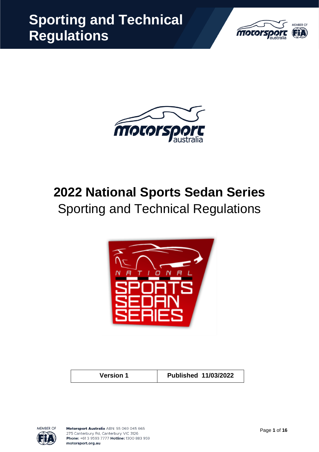



# **2022 National Sports Sedan Series** Sporting and Technical Regulations



**Version 1 Published 11/03/2022**

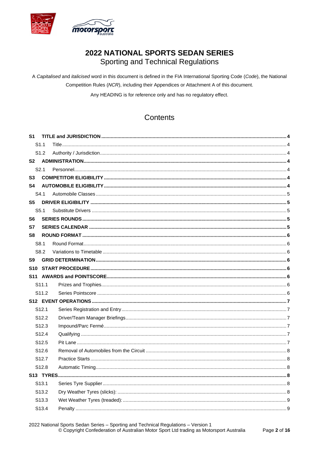

# 2022 NATIONAL SPORTS SEDAN SERIES

Sporting and Technical Regulations

A Capitalised and italicised word in this document is defined in the FIA International Sporting Code (Code), the National Competition Rules (NCR), including their Appendices or Attachment A of this document.

Any HEADING is for reference only and has no regulatory effect.

## Contents

| S1                |  |
|-------------------|--|
| S <sub>1.1</sub>  |  |
| S <sub>1.2</sub>  |  |
| S2                |  |
| S2.1              |  |
| S3                |  |
| S4                |  |
| S4.1              |  |
| S5                |  |
| S <sub>5.1</sub>  |  |
| S6                |  |
| S7                |  |
| S8                |  |
| S8.1              |  |
| S8.2              |  |
| S9                |  |
|                   |  |
|                   |  |
|                   |  |
| S <sub>11.1</sub> |  |
| S <sub>11.2</sub> |  |
|                   |  |
| S <sub>12.1</sub> |  |
| S <sub>12.2</sub> |  |
| S <sub>12.3</sub> |  |
| S <sub>12.4</sub> |  |
| S <sub>12.5</sub> |  |
| S <sub>12.6</sub> |  |
| S <sub>12.7</sub> |  |
| S <sub>12.8</sub> |  |
|                   |  |
| S <sub>13.1</sub> |  |
| S <sub>13.2</sub> |  |
| S <sub>13.3</sub> |  |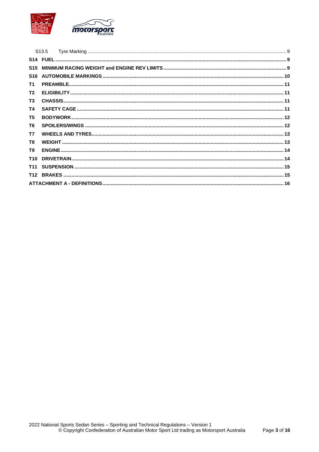

|                 | S <sub>13.5</sub> |  |
|-----------------|-------------------|--|
|                 |                   |  |
| <b>S15</b>      |                   |  |
|                 |                   |  |
| T1              |                   |  |
| T <sub>2</sub>  |                   |  |
| <b>T3</b>       |                   |  |
| <b>T4</b>       |                   |  |
| T <sub>5</sub>  |                   |  |
| T <sub>6</sub>  |                   |  |
| T7              |                   |  |
| T <sub>8</sub>  |                   |  |
| T9              |                   |  |
| T <sub>10</sub> |                   |  |
| <b>T11</b>      |                   |  |
|                 |                   |  |
|                 |                   |  |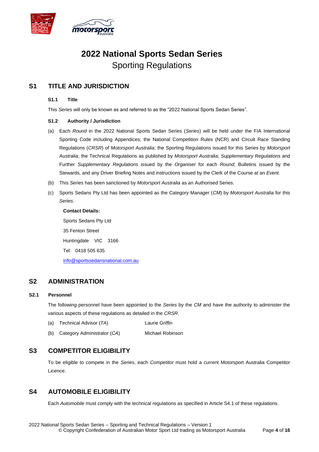

## **2022 National Sports Sedan Series** Sporting Regulations

## **S1 TITLE AND JURISDICTION**

#### **S1.1 Title**

This *Series* will only be known as and referred to as the "2022 National Sports Sedan Series".

#### **S1.2 Authority / Jurisdiction**

- (a) Each *Round* in the 2022 National Sports Sedan Series (*Series*) will be held under the FIA International Sporting Code including Appendices; the National Competition Rules (NCR) and Circuit Race Standing Regulations (*CRSR*) of *Motorsport Australia*; the Sporting Regulations issued for this Series by *Motorsport Australia*; the Technical Regulations as published by *Motorsport Australia*; *Supplementary Regulations* and Further *Supplementary Regulations* issued by the *Organiser* for each *Round*; Bulletins issued by the Stewards, and any Driver Briefing Notes and instructions issued by the Clerk of the Course at an *Event*.
- (b) This *Series* has been sanctioned by *Motorsport Australia* as an Authorised Series.
- (c) Sports Sedans Pty Ltd has been appointed as the Category Manager (*CM*) by *Motorsport Australia* for this *Series*.

**Contact Details:**

Sports Sedans Pty Ltd 35 Fenton Street Huntingdale VIC 3166 Tel: 0418 505 635

info@sportssedansnational.com.au

## **S2 ADMINISTRATION**

#### **S2.1 Personnel**

The following personnel have been appointed to the *Series* by the *CM* and have the authority to administer the various aspects of these regulations as detailed in the *CRSR*.

- (a) Technical Advisor (*TA*) Laurie Griffin
- (b) Category Administrator (*CA*) Michael Robinson

## **S3 COMPETITOR ELIGIBILITY**

To be eligible to compete in the *Series*, each *Competitor* must hold a current Motorsport Australia Competitor Licence.

## **S4 AUTOMOBILE ELIGIBILITY**

Each *Automobile* must comply with the technical regulations as specified in Article S4.1 of these regulations.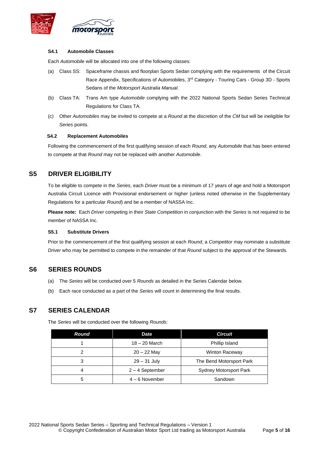

#### **S4.1 Automobile Classes**

Each *Automobile* will be allocated into one of the following classes:

- (a) Class SS: Spaceframe chassis and floorplan Sports Sedan complying with the requirements of the Circuit Race Appendix, Specifications of Automobiles, 3<sup>rd</sup> Category - Touring Cars - Group 3D - Sports Sedans of the *Motorsport Australia Manual*.
- (b) Class TA: Trans Am type *Automobile* complying with the 2022 National Sports Sedan Series Technical Regulations for Class TA.
- (c) Other *Automobiles* may be invited to compete at a *Round* at the discretion of the *CM* but will be ineligible for *Series* points.

#### **S4.2 Replacement Automobiles**

Following the commencement of the first qualifying session of each *Round*, any *Automobile* that has been entered to compete at that *Round* may not be replaced with another *Automobile*.

## **S5 DRIVER ELIGIBILITY**

To be eligible to compete in the *Series*, each *Driver* must be a minimum of 17 years of age and hold a Motorsport Australia Circuit Licence with Provisional endorsement or higher (unless noted otherwise in the Supplementary Regulations for a particular *Round*) and be a member of NASSA Inc.

**Please note:** Each *Driver* competing in their *State Competition* in conjunction with the *Series* is not required to be member of NASSA Inc.

#### **S5.1 Substitute Drivers**

Prior to the commencement of the first qualifying session at each *Round*, a *Competitor* may nominate a substitute *Driver* who may be permitted to compete in the remainder of that *Round* subject to the approval of the Stewards.

## **S6 SERIES ROUNDS**

- (a) The *Series* will be conducted over 5 *Rounds* as detailed in the Series Calendar below.
- (b) Each race conducted as a part of the *Series* will count in determining the final results.

## **S7 SERIES CALENDAR**

The *Series* will be conducted over the following *Rounds*:

| Round | <b>Date</b>       | <b>Circuit</b>                |
|-------|-------------------|-------------------------------|
|       | $18 - 20$ March   | Phillip Island                |
| っ     | $20 - 22$ May     | <b>Winton Raceway</b>         |
| 3     | $29 - 31$ July    | The Bend Motorsport Park      |
| 4     | $2 - 4$ September | <b>Sydney Motorsport Park</b> |
| 5     | $4 - 6$ November  | Sandown                       |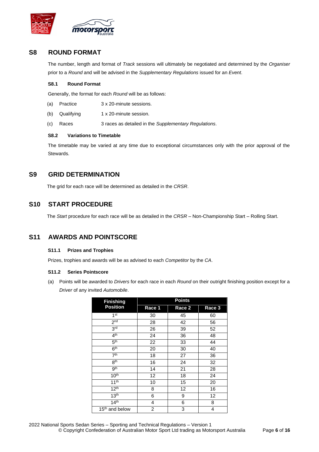

## **S8 ROUND FORMAT**

The number, length and format of *Track* sessions will ultimately be negotiated and determined by the *Organiser* prior to a *Round* and will be advised in the *Supplementary Regulations* issued for an *Event*.

#### **S8.1 Round Format**

Generally, the format for each *Round* will be as follows:

- (a) Practice 3 x 20-minute sessions.
- (b) Qualifying 1 x 20-minute session.
- (c) Races 3 races as detailed in the *Supplementary Regulations*.

#### **S8.2 Variations to Timetable**

The timetable may be varied at any time due to exceptional circumstances only with the prior approval of the Stewards.

## **S9 GRID DETERMINATION**

The grid for each race will be determined as detailed in the *CRSR*.

## **S10 START PROCEDURE**

The *Start* procedure for each race will be as detailed in the *CRSR* – Non-Championship Start – Rolling Start.

## **S11 AWARDS AND POINTSCORE**

#### **S11.1 Prizes and Trophies**

Prizes, trophies and awards will be as advised to each *Competitor* by the *CA*.

#### **S11.2 Series Pointscore**

(a) Points will be awarded to *Drivers* for each race in each *Round* on their outright finishing position except for a *Driver* of any invited *Automobile*.

| <b>Finishing</b>           | <b>Points</b>  |        |        |
|----------------------------|----------------|--------|--------|
| <b>Position</b>            | Race 1         | Race 2 | Race 3 |
| 1 <sup>st</sup>            | 30             | 45     | 60     |
| 2 <sub>nd</sub>            | 28             | 42     | 56     |
| 3 <sup>rd</sup>            | 26             | 39     | 52     |
| 4 <sup>th</sup>            | 24             | 36     | 48     |
| 5 <sup>th</sup>            | 22             | 33     | 44     |
| 6 <sup>th</sup>            | 20             | 30     | 40     |
| 7 <sup>th</sup>            | 18             | 27     | 36     |
| 8 <sup>th</sup>            | 16             | 24     | 32     |
| gth                        | 14             | 21     | 28     |
| 10 <sup>th</sup>           | 12             | 18     | 24     |
| 11 <sup>th</sup>           | 10             | 15     | 20     |
| 12 <sup>th</sup>           | 8              | 12     | 16     |
| 13 <sup>th</sup>           | 6              | 9      | 12     |
| 14 <sup>th</sup>           | 4              | 6      | 8      |
| 15 <sup>th</sup> and below | $\overline{c}$ | 3      | 4      |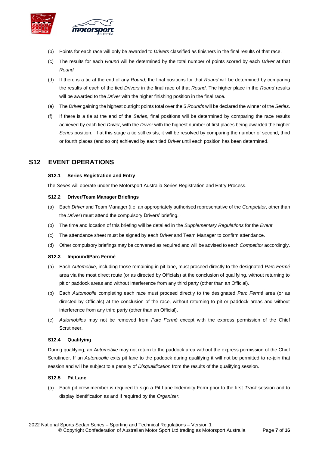

- (b) Points for each race will only be awarded to *Drivers* classified as finishers in the final results of that race.
- (c) The results for each *Round* will be determined by the total number of points scored by each *Driver* at that *Round.*
- (d) If there is a tie at the end of any *Round*, the final positions for that *Round* will be determined by comparing the results of each of the tied *Drivers* in the final race of that *Round*. The higher place in the *Round* results will be awarded to the *Driver* with the higher finishing position in the final race.
- (e) The *Driver* gaining the highest outright points total over the 5 *Rounds* will be declared the winner of the *Series*.
- (f) If there is a tie at the end of the *Series*, final positions will be determined by comparing the race results achieved by each tied *Driver*, with the *Driver* with the highest number of first places being awarded the higher *Series* position. If at this stage a tie still exists, it will be resolved by comparing the number of second, third or fourth places (and so on) achieved by each tied *Driver* until each position has been determined.

## **S12 EVENT OPERATIONS**

#### **S12.1 Series Registration and Entry**

The *Series* will operate under the Motorsport Australia Series Registration and Entry Process.

#### **S12.2 Driver/Team Manager Briefings**

- (a) Each *Driver* and Team Manager (i.e. an appropriately authorised representative of the *Competitor*, other than the *Driver*) must attend the compulsory Drivers' briefing.
- (b) The time and location of this briefing will be detailed in the *Supplementary Regulations* for the *Event*.
- (c) The attendance sheet must be signed by each *Driver* and Team Manager to confirm attendance.
- (d) Other compulsory briefings may be convened as required and will be advised to each *Competitor* accordingly.

#### **S12.3 Impound/Parc Fermé**

- (a) Each *Automobile*, including those remaining in pit lane, must proceed directly to the designated *Parc Fermé* area via the most direct route (or as directed by Officials) at the conclusion of qualifying, without returning to pit or paddock areas and without interference from any third party (other than an Official).
- (b) Each *Automobile* completing each race must proceed directly to the designated *Parc Fermé* area (or as directed by Officials) at the conclusion of the race, without returning to pit or paddock areas and without interference from any third party (other than an Official).
- (c) *Automobiles* may not be removed from *Parc Fermé* except with the express permission of the Chief Scrutineer.

#### **S12.4 Qualifying**

During qualifying, an *Automobile* may not return to the paddock area without the express permission of the Chief Scrutineer. If an *Automobile* exits pit lane to the paddock during qualifying it will not be permitted to re-join that session and will be subject to a penalty of *Disqualification* from the results of the qualifying session.

#### **S12.5 Pit Lane**

(a) Each pit crew member is required to sign a Pit Lane Indemnity Form prior to the first *Track* session and to display identification as and if required by the *Organiser*.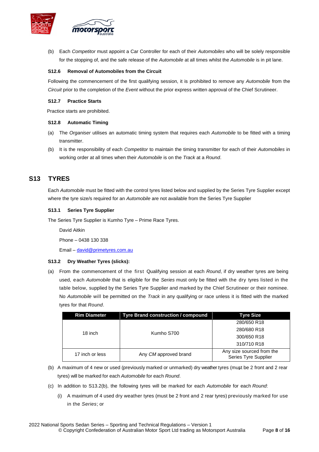

(b) Each *Competitor* must appoint a Car Controller for each of their *Automobiles* who will be solely responsible for the stopping of, and the safe release of the *Automobile* at all times whilst the *Automobile* is in pit lane.

#### **S12.6 Removal of Automobiles from the Circuit**

Following the commencement of the first qualifying session, it is prohibited to remove any *Automobile* from the *Circuit* prior to the completion of the *Event* without the prior express written approval of the Chief Scrutineer.

#### **S12.7 Practice Starts**

Practice starts are prohibited.

#### **S12.8 Automatic Timing**

- (a) The *Organiser* utilises an automatic timing system that requires each *Automobile* to be fitted with a timing transmitter.
- (b) It is the responsibility of each *Competitor* to maintain the timing transmitter for each of their *Automobiles* in working order at all times when their *Automobile* is on the *Track* at a *Round*.

## **S13 TYRES**

Each *Automobile* must be fitted with the control tyres listed below and supplied by the Series Tyre Supplier except where the tyre size/s required for an *Automobile* are not available from the Series Tyre Supplier

#### **S13.1 Series Tyre Supplier**

The Series Tyre Supplier is Kumho Tyre – Prime Race Tyres.

David Aitkin

Phone – 0438 130 338

Email – david@primetyres.com.au

#### **S13.2 Dry Weather Tyres (slicks):**

(a) From the commencement of the first Qualifying session at each *Round*, if dry weather tyres are being used, each *Automobile* that is eligible for the *Series* must only be fitted with the dry tyres listed in the table below, supplied by the Series Tyre Supplier and marked by the Chief Scrutineer or their nominee. No *Automobile* will be permitted on the *Track* in any qualifying or race unless it is fitted with the marked tyres for that *Round*.

| <b>Rim Diameter</b> | Tyre Brand construction / compound | Tyre Size                                         |
|---------------------|------------------------------------|---------------------------------------------------|
|                     |                                    | 280/650 R18                                       |
| 18 inch             | Kumho S700                         | 280/680 R18                                       |
|                     |                                    | 300/650 R18                                       |
|                     |                                    | 310/710 R18                                       |
| 17 inch or less     | Any CM approved brand              | Any size sourced from the<br>Series Tyre Supplier |

- (b) A maximum of 4 new or used (previously marked or unmarked) dry weather tyres (must be 2 front and 2 rear tyres) will be marked for each *Automobile* for each *Round*.
- (c) In addition to S13.2(b), the following tyres will be marked for each *Automobile* for each *Round*:
	- (i) A maximum of 4 used dry weather tyres (must be 2 front and 2 rear tyres) previously marked for use in the *Series*; or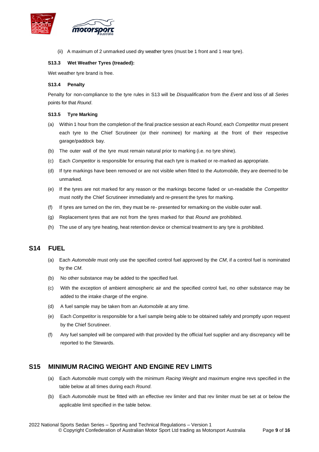

(ii) A maximum of 2 unmarked used dry weather tyres (must be 1 front and 1 rear tyre).

#### **S13.3 Wet Weather Tyres (treaded):**

Wet weather tyre brand is free.

#### **S13.4 Penalty**

Penalty for non-compliance to the tyre rules in S13 will be *Disqualification* from the *Event* and loss of all *Series* points for that *Round*.

#### **S13.5 Tyre Marking**

- (a) Within 1 hour from the completion of the final practice session at each *Round*, each *Competitor* must present each tyre to the Chief Scrutineer (or their nominee) for marking at the front of their respective garage/paddock bay.
- (b) The outer wall of the tyre must remain natural prior to marking (i.e. no tyre shine).
- (c) Each *Competitor* is responsible for ensuring that each tyre is marked or re-marked as appropriate.
- (d) If tyre markings have been removed or are not visible when fitted to the *Automobile,* they are deemed to be unmarked.
- (e) If the tyres are not marked for any reason or the markings become faded or un-readable the *Competitor* must notify the Chief Scrutineer immediately and re-present the tyres for marking.
- (f) If tyres are turned on the rim, they must be re- presented for remarking on the visible outer wall.
- (g) Replacement tyres that are not from the tyres marked for that *Round* are prohibited.
- (h) The use of any tyre heating, heat retention device or chemical treatment to any tyre is prohibited.

## **S14 FUEL**

- (a) Each *Automobile* must only use the specified control fuel approved by the *CM*, if a control fuel is nominated by the *CM*.
- (b) No other substance may be added to the specified fuel.
- (c) With the exception of ambient atmospheric air and the specified control fuel, no other substance may be added to the intake charge of the engine.
- (d) A fuel sample may be taken from an *Automobile* at any time.
- (e) Each *Competitor* is responsible for a fuel sample being able to be obtained safely and promptly upon request by the Chief Scrutineer.
- (f) Any fuel sampled will be compared with that provided by the official fuel supplier and any discrepancy will be reported to the Stewards.

## **S15 MINIMUM RACING WEIGHT AND ENGINE REV LIMITS**

- (a) Each *Automobile* must comply with the minimum *Racing Weight* and maximum engine revs specified in the table below at all times during each *Round*.
- (b) Each *Automobile* must be fitted with an effective rev limiter and that rev limiter must be set at or below the applicable limit specified in the table below.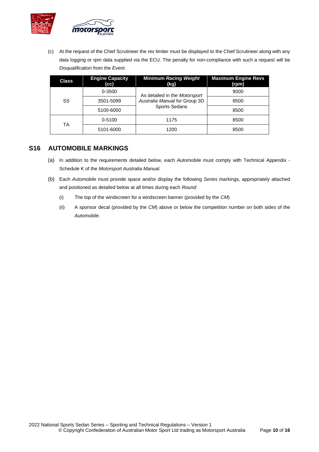

(c) At the request of the Chief Scrutineer the rev limiter must be displayed to the Chief Scrutineer along with any data logging or rpm data supplied via the ECU. The penalty for non-compliance with such a request will be *Disqualification* from the *Event*.

| <b>Class</b> | <b>Engine Capacity</b><br>(cc) | <b>Minimum Racing Weight</b><br>(kg)                  | <b>Maximum Engine Revs</b><br>(rpm) |
|--------------|--------------------------------|-------------------------------------------------------|-------------------------------------|
|              | 0-3500                         | As detailed in the Motorsport                         | 9000                                |
| SS           | 3501-5099                      | Australia Manual for Group 3D<br><b>Sports Sedans</b> | 8500                                |
|              | 5100-6000                      |                                                       | 8500                                |
| ТA           | 0-5100                         | 1175                                                  | 8500                                |
|              | 5101-6000                      | 1200                                                  | 8500                                |

## **S16 AUTOMOBILE MARKINGS**

- (a) In addition to the requirements detailed below, each *Automobile* must comply with Technical Appendix Schedule K of the *Motorsport Australia Manual*.
- (b) Each *Automobile* must provide space and/or display the following *Series* markings, appropriately attached and positioned as detailed below at all times during each *Round*:
	- (i) The top of the windscreen for a windscreen banner (provided by the *CM*)
	- (ii) A sponsor decal (provided by the *CM*) above or below the competition number on both sides of the *Automobile*.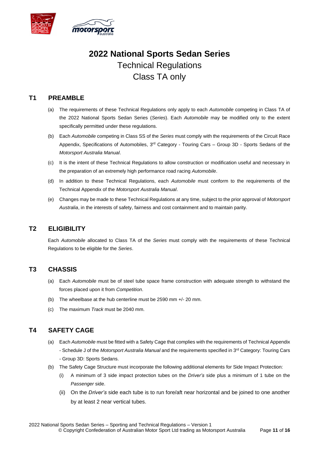

# **2022 National Sports Sedan Series** Technical Regulations Class TA only

## **T1 PREAMBLE**

- (a) The requirements of these Technical Regulations only apply to each *Automobile* competing in Class TA of the 2022 National Sports Sedan Series (*Series*). Each *Automobile* may be modified only to the extent specifically permitted under these regulations.
- (b) Each *Automobile* competing in Class SS of the *Series* must comply with the requirements of the Circuit Race Appendix, Specifications of Automobiles, 3<sup>rd</sup> Category - Touring Cars – Group 3D - Sports Sedans of the *Motorsport Australia Manual*.
- (c) It is the intent of these Technical Regulations to allow construction or modification useful and necessary in the preparation of an extremely high performance road racing *Automobile*.
- (d) In addition to these Technical Regulations, each *Automobile* must conform to the requirements of the Technical Appendix of the *Motorsport Australia Manual*.
- (e) Changes may be made to these Technical Regulations at any time, subject to the prior approval of *Motorsport Australia*, in the interests of safety, fairness and cost containment and to maintain parity.

## **T2 ELIGIBILITY**

Each *Automobile* allocated to Class TA of the *Series* must comply with the requirements of these Technical Regulations to be eligible for the *Series*.

## **T3 CHASSIS**

- (a) Each *Automobile* must be of steel tube space frame construction with adequate strength to withstand the forces placed upon it from *Competition*.
- (b) The wheelbase at the hub centerline must be 2590 mm +/- 20 mm.
- (c) The maximum *Track* must be 2040 mm.

## **T4 SAFETY CAGE**

- (a) Each *Automobile* must be fitted with a Safety Cage that complies with the requirements of Technical Appendix - Schedule J of the *Motorsport Australia Manual* and the requirements specified in 3rd Category: Touring Cars - Group 3D: Sports Sedans.
- (b) The Safety Cage Structure must incorporate the following additional elements for Side Impact Protection:
	- (i) A minimum of 3 side impact protection tubes on the *Driver's* side plus a minimum of 1 tube on the *Passenger* side.
	- (ii) On the *Driver's* side each tube is to run fore/aft near horizontal and be joined to one another by at least 2 near vertical tubes.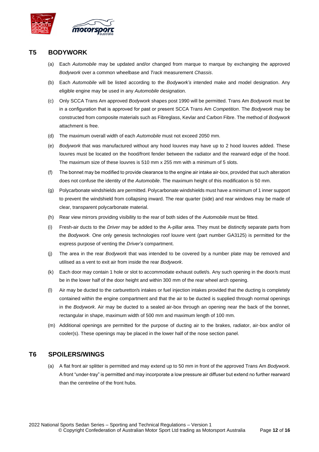

## **T5 BODYWORK**

- (a) Each *Automobile* may be updated and/or changed from marque to marque by exchanging the approved *Bodywork* over a common wheelbase and *Track* measurement *Chassis*.
- (b) Each *Automobile* will be listed according to the *Bodywork's* intended make and model designation. Any eligible engine may be used in any *Automobile* designation.
- (c) Only SCCA Trans Am approved *Bodywork* shapes post 1990 will be permitted. Trans Am *Bodywork* must be in a configuration that is approved for past or present SCCA Trans Am *Competition*. The *Bodywork* may be constructed from composite materials such as Fibreglass, Kevlar and Carbon Fibre. The method of *Bodywork* attachment is free.
- (d) The maximum overall width of each *Automobile* must not exceed 2050 mm.
- (e) *Bodywork* that was manufactured without any hood louvres may have up to 2 hood louvres added. These louvres must be located on the hood/front fender between the radiator and the rearward edge of the hood. The maximum size of these louvres is 510 mm x 255 mm with a minimum of 5 slots.
- (f) The bonnet may be modified to provide clearance to the engine air intake air-box, provided that such alteration does not confuse the identity of the *Automobile*. The maximum height of this modification is 50 mm.
- (g) Polycarbonate windshields are permitted. Polycarbonate windshields must have a minimum of 1 inner support to prevent the windshield from collapsing inward. The rear quarter (side) and rear windows may be made of clear, transparent polycarbonate material.
- (h) Rear view mirrors providing visibility to the rear of both sides of the *Automobile* must be fitted.
- (i) Fresh-air ducts to the *Driver* may be added to the A-pillar area. They must be distinctly separate parts from the *Bodywork*. One only genesis technologies roof louvre vent (part number GA3125) is permitted for the express purpose of venting the *Driver's* compartment.
- (j) The area in the rear *Bodywork* that was intended to be covered by a number plate may be removed and utilised as a vent to exit air from inside the rear *Bodywork*.
- (k) Each door may contain 1 hole or slot to accommodate exhaust outlet/s. Any such opening in the door/s must be in the lower half of the door height and within 300 mm of the rear wheel arch opening.
- (l) Air may be ducted to the carburettor/s intakes or fuel injection intakes provided that the ducting is completely contained within the engine compartment and that the air to be ducted is supplied through normal openings in the *Bodywork*. Air may be ducted to a sealed air-box through an opening near the back of the bonnet, rectangular in shape, maximum width of 500 mm and maximum length of 100 mm.
- (m) Additional openings are permitted for the purpose of ducting air to the brakes, radiator, air-box and/or oil cooler(s). These openings may be placed in the lower half of the nose section panel.

## **T6 SPOILERS/WINGS**

(a) A flat front air splitter is permitted and may extend up to 50 mm in front of the approved Trans Am *Bodywork*. A front "under-tray" is permitted and may incorporate a low pressure air diffuser but extend no further rearward than the centreline of the front hubs.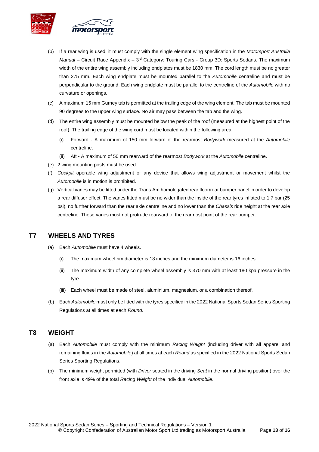

- (b) If a rear wing is used, it must comply with the single element wing specification in the *Motorsport Australia* Manual – Circuit Race Appendix – 3<sup>rd</sup> Category: Touring Cars - Group 3D: Sports Sedans. The maximum width of the entire wing assembly including endplates must be 1830 mm. The cord length must be no greater than 275 mm. Each wing endplate must be mounted parallel to the *Automobile* centreline and must be perpendicular to the ground. Each wing endplate must be parallel to the centreline of the *Automobile* with no curvature or openings.
- (c) A maximum 15 mm Gurney tab is permitted at the trailing edge of the wing element. The tab must be mounted 90 degrees to the upper wing surface. No air may pass between the tab and the wing.
- (d) The entire wing assembly must be mounted below the peak of the roof (measured at the highest point of the roof). The trailing edge of the wing cord must be located within the following area:
	- (i) Forward A maximum of 150 mm forward of the rearmost *Bodywork* measured at the *Automobile* centreline.
	- (ii) Aft A maximum of 50 mm rearward of the rearmost *Bodywork* at the *Automobile* centreline.
- (e) 2 wing mounting posts must be used.
- (f) *Cockpit* operable wing adjustment or any device that allows wing adjustment or movement whilst the *Automobile* is in motion is prohibited.
- (g) Vertical vanes may be fitted under the Trans Am homologated rear floor/rear bumper panel in order to develop a rear diffuser effect. The vanes fitted must be no wider than the inside of the rear tyres inflated to 1.7 bar (25 psi), no further forward than the rear axle centreline and no lower than the *Chassis* ride height at the rear axle centreline. These vanes must not protrude rearward of the rearmost point of the rear bumper.

## **T7 WHEELS AND TYRES**

- (a) Each *Automobile* must have 4 wheels.
	- (i) The maximum wheel rim diameter is 18 inches and the minimum diameter is 16 inches.
	- (ii) The maximum width of any complete wheel assembly is 370 mm with at least 180 kpa pressure in the tyre.
	- (iii) Each wheel must be made of steel, aluminium, magnesium, or a combination thereof.
- (b) Each *Automobile* must only be fitted with the tyres specified in the 2022 National Sports Sedan Series Sporting Regulations at all times at each *Round*.

## **T8 WEIGHT**

- (a) Each *Automobile* must comply with the minimum *Racing Weight* (including driver with all apparel and remaining fluids in the *Automobile*) at all times at each *Round* as specified in the 2022 National Sports Sedan Series Sporting Regulations.
- (b) The minimum weight permitted (with *Driver* seated in the driving *Seat* in the normal driving position) over the front axle is 49% of the total *Racing Weight* of the individual *Automobile*.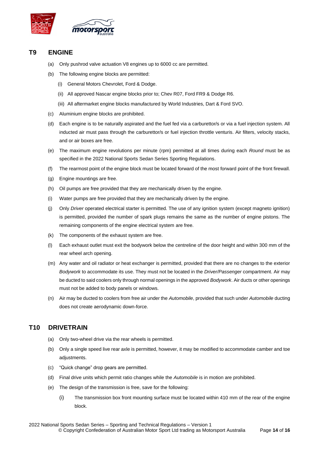

## **T9 ENGINE**

- (a) Only pushrod valve actuation V8 engines up to 6000 cc are permitted.
- (b) The following engine blocks are permitted:
	- (i) General Motors Chevrolet, Ford & Dodge.
	- (ii) All approved Nascar engine blocks prior to; Chev R07, Ford FR9 & Dodge R6.
	- (iii) All aftermarket engine blocks manufactured by World Industries, Dart & Ford SVO.
- (c) Aluminium engine blocks are prohibited.
- (d) Each engine is to be naturally aspirated and the fuel fed via a carburettor/s or via a fuel injection system. All inducted air must pass through the carburettor/s or fuel injection throttle venturis. Air filters, velocity stacks, and or air boxes are free.
- (e) The maximum engine revolutions per minute (rpm) permitted at all times during each *Round* must be as specified in the 2022 National Sports Sedan Series Sporting Regulations.
- (f) The rearmost point of the engine block must be located forward of the most forward point of the front firewall.
- (g) Engine mountings are free.
- (h) Oil pumps are free provided that they are mechanically driven by the engine.
- (i) Water pumps are free provided that they are mechanically driven by the engine.
- (j) Only *Driver* operated electrical starter is permitted. The use of any ignition system (except magneto ignition) is permitted, provided the number of spark plugs remains the same as the number of engine pistons. The remaining components of the engine electrical system are free.
- (k) The components of the exhaust system are free.
- (l) Each exhaust outlet must exit the bodywork below the centreline of the door height and within 300 mm of the rear wheel arch opening.
- (m) Any water and oil radiator or heat exchanger is permitted, provided that there are no changes to the exterior *Bodywork* to accommodate its use. They must not be located in the *Driver/Passenger* compartment. Air may be ducted to said coolers only through normal openings in the approved *Bodywork*. Air ducts or other openings must not be added to body panels or windows.
- (n) Air may be ducted to coolers from free air under the *Automobile*, provided that such under *Automobile* ducting does not create aerodynamic down-force.

## **T10 DRIVETRAIN**

- (a) Only two-wheel drive via the rear wheels is permitted.
- (b) Only a single speed live rear axle is permitted, however, it may be modified to accommodate camber and toe adjustments.
- (c) "Quick change" drop gears are permitted.
- (d) Final drive units which permit ratio changes while the *Automobile* is in motion are prohibited.
- (e) The design of the transmission is free, save for the following:
	- (i) The transmission box front mounting surface must be located within 410 mm of the rear of the engine block.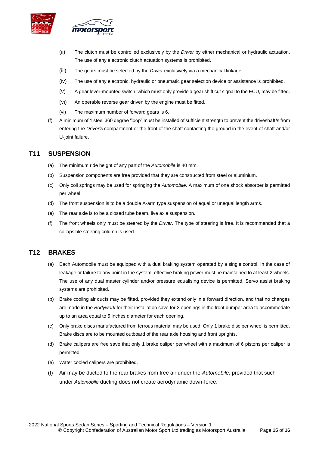

- (ii) The clutch must be controlled exclusively by the *Driver* by either mechanical or hydraulic actuation. The use of any electronic clutch actuation systems is prohibited.
- (iii) The gears must be selected by the *Driver* exclusively via a mechanical linkage.
- (iv) The use of any electronic, hydraulic or pneumatic gear selection device or assistance is prohibited.
- (v) A gear lever-mounted switch, which must only provide a gear shift cut signal to the ECU, may be fitted.
- (vi) An operable reverse gear driven by the engine must be fitted.
- (vi) The maximum number of forward gears is 6.
- (f) A minimum of 1 steel 360 degree "loop" must be installed of sufficient strength to prevent the driveshaft/s from entering the *Driver's* compartment or the front of the shaft contacting the ground in the event of shaft and/or U-joint failure.

## **T11 SUSPENSION**

- (a) The minimum ride height of any part of the *Automobile* is 40 mm.
- (b) Suspension components are free provided that they are constructed from steel or aluminium.
- (c) Only coil springs may be used for springing the *Automobile*. A maximum of one shock absorber is permitted per wheel.
- (d) The front suspension is to be a double A-arm type suspension of equal or unequal length arms.
- (e) The rear axle is to be a closed tube beam, live axle suspension.
- (f) The front wheels only must be steered by the *Driver*. The type of steering is free. It is recommended that a collapsible steering column is used.

## **T12 BRAKES**

- (a) Each Automobile must be equipped with a dual braking system operated by a single control. In the case of leakage or failure to any point in the system, effective braking power must be maintained to at least 2 wheels. The use of any dual master cylinder and/or pressure equalising device is permitted. Servo assist braking systems are prohibited.
- (b) Brake cooling air ducts may be fitted, provided they extend only in a forward direction, and that no changes are made in the *Bodywork* for their installation save for 2 openings in the front bumper area to accommodate up to an area equal to 5 inches diameter for each opening.
- (c) Only brake discs manufactured from ferrous material may be used. Only 1 brake disc per wheel is permitted. Brake discs are to be mounted outboard of the rear axle housing and front uprights.
- (d) Brake calipers are free save that only 1 brake caliper per wheel with a maximum of 6 pistons per caliper is permitted.
- (e) Water cooled calipers are prohibited.
- (f) Air may be ducted to the rear brakes from free air under the *Automobile*, provided that such under *Automobile* ducting does not create aerodynamic down-force.